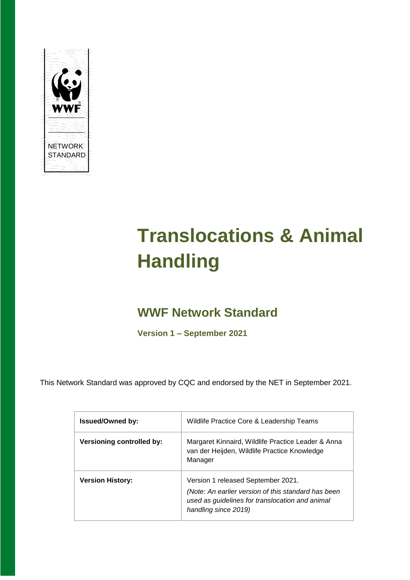

# **Translocations & Animal Handling**

# **WWF Network Standard**

**Version 1 – September 2021**

This Network Standard was approved by CQC and endorsed by the NET in September 2021.

| <b>Issued/Owned by:</b>          | Wildlife Practice Core & Leadership Teams                                                                                                                            |
|----------------------------------|----------------------------------------------------------------------------------------------------------------------------------------------------------------------|
| <b>Versioning controlled by:</b> | Margaret Kinnaird, Wildlife Practice Leader & Anna<br>van der Heijden, Wildlife Practice Knowledge<br>Manager                                                        |
| <b>Version History:</b>          | Version 1 released September 2021.<br>(Note: An earlier version of this standard has been<br>used as guidelines for translocation and animal<br>handling since 2019) |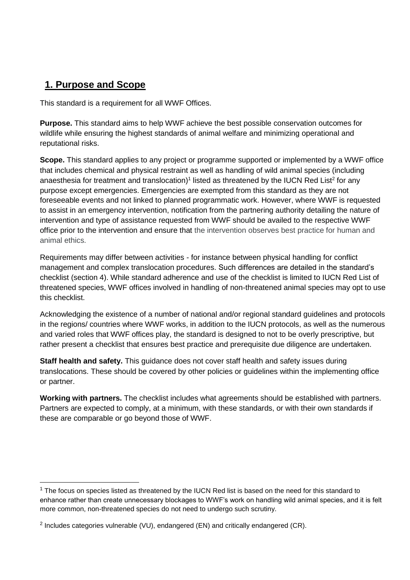# **1. Purpose and Scope**

 $\overline{a}$ 

This standard is a requirement for all WWF Offices.

**Purpose.** This standard aims to help WWF achieve the best possible conservation outcomes for wildlife while ensuring the highest standards of animal welfare and minimizing operational and reputational risks.

**Scope.** This standard applies to any project or programme supported or implemented by a WWF office that includes chemical and physical restraint as well as handling of wild animal species (including anaesthesia for treatment and translocation)<sup>1</sup> listed as threatened by the IUCN Red List<sup>2</sup> for any purpose except emergencies. Emergencies are exempted from this standard as they are not foreseeable events and not linked to planned programmatic work. However, where WWF is requested to assist in an emergency intervention, notification from the partnering authority detailing the nature of intervention and type of assistance requested from WWF should be availed to the respective WWF office prior to the intervention and ensure that the intervention observes best practice for human and animal ethics.

Requirements may differ between activities - for instance between physical handling for conflict management and complex translocation procedures. Such differences are detailed in the standard's checklist (section 4). While standard adherence and use of the checklist is limited to IUCN Red List of threatened species, WWF offices involved in handling of non-threatened animal species may opt to use this checklist.

Acknowledging the existence of a number of national and/or regional standard guidelines and protocols in the regions/ countries where WWF works, in addition to the IUCN protocols, as well as the numerous and varied roles that WWF offices play, the standard is designed to not to be overly prescriptive, but rather present a checklist that ensures best practice and prerequisite due diligence are undertaken.

**Staff health and safety.** This guidance does not cover staff health and safety issues during translocations. These should be covered by other policies or guidelines within the implementing office or partner.

**Working with partners.** The checklist includes what agreements should be established with partners. Partners are expected to comply, at a minimum, with these standards, or with their own standards if these are comparable or go beyond those of WWF.

<sup>&</sup>lt;sup>1</sup> The focus on species listed as threatened by the IUCN Red list is based on the need for this standard to enhance rather than create unnecessary blockages to WWF's work on handling wild animal species, and it is felt more common, non-threatened species do not need to undergo such scrutiny.

<sup>&</sup>lt;sup>2</sup> Includes categories vulnerable (VU), endangered (EN) and critically endangered (CR).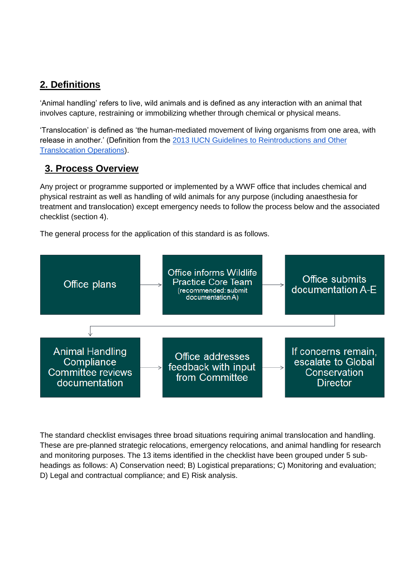# **2. Definitions**

'Animal handling' refers to live, wild animals and is defined as any interaction with an animal that involves capture, restraining or immobilizing whether through chemical or physical means.

'Translocation' is defined as 'the human-mediated movement of living organisms from one area, with release in another.' (Definition from the [2013 IUCN Guidelines to Reintroductions and Other](http://www.iucn-whsg.org/node/1471)  [Translocation Operations\)](http://www.iucn-whsg.org/node/1471).

## **3. Process Overview**

Any project or programme supported or implemented by a WWF office that includes chemical and physical restraint as well as handling of wild animals for any purpose (including anaesthesia for treatment and translocation) except emergency needs to follow the process below and the associated checklist (section 4).

The general process for the application of this standard is as follows.



The standard checklist envisages three broad situations requiring animal translocation and handling. These are pre-planned strategic relocations, emergency relocations, and animal handling for research and monitoring purposes. The 13 items identified in the checklist have been grouped under 5 subheadings as follows: A) Conservation need; B) Logistical preparations; C) Monitoring and evaluation; D) Legal and contractual compliance; and E) Risk analysis.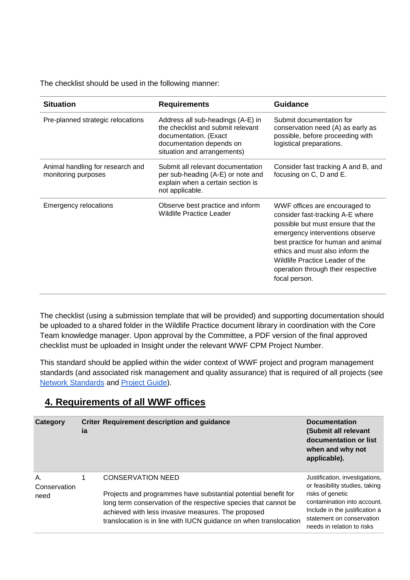The checklist should be used in the following manner:

| <b>Situation</b>                                        | <b>Requirements</b>                                                                                                                                        | <b>Guidance</b>                                                                                                                                                                                                                                                                                              |
|---------------------------------------------------------|------------------------------------------------------------------------------------------------------------------------------------------------------------|--------------------------------------------------------------------------------------------------------------------------------------------------------------------------------------------------------------------------------------------------------------------------------------------------------------|
| Pre-planned strategic relocations                       | Address all sub-headings (A-E) in<br>the checklist and submit relevant<br>documentation. (Exact<br>documentation depends on<br>situation and arrangements) | Submit documentation for<br>conservation need (A) as early as<br>possible, before proceeding with<br>logistical preparations.                                                                                                                                                                                |
| Animal handling for research and<br>monitoring purposes | Submit all relevant documentation<br>per sub-heading (A-E) or note and<br>explain when a certain section is<br>not applicable.                             | Consider fast tracking A and B, and<br>focusing on C, D and E.                                                                                                                                                                                                                                               |
| <b>Emergency relocations</b>                            | Observe best practice and inform<br>Wildlife Practice Leader                                                                                               | WWF offices are encouraged to<br>consider fast-tracking A-E where<br>possible but must ensure that the<br>emergency interventions observe<br>best practice for human and animal<br>ethics and must also inform the<br>Wildlife Practice Leader of the<br>operation through their respective<br>focal person. |

The checklist (using a submission template that will be provided) and supporting documentation should be uploaded to a shared folder in the Wildlife Practice document library in coordination with the Core Team knowledge manager. Upon approval by the Committee, a PDF version of the final approved checklist must be uploaded in Insight under the relevant WWF CPM Project Number.

This standard should be applied within the wider context of WWF project and program management standards (and associated risk management and quality assurance) that is required of all projects (see [Network Standards](https://sites.google.com/wwf.panda.org/networkstandards/policy-areas/project-and-initiative-management) and [Project Guide\)](https://sites.google.com/wwfint.org/project-guide).

# **4. Requirements of all WWF offices**

| Category                   | ia | <b>Criter Requirement description and guidance</b>                                                                                                                                                                                                                                       | <b>Documentation</b><br>(Submit all relevant<br>documentation or list<br>when and why not<br>applicable).                                                                                                        |
|----------------------------|----|------------------------------------------------------------------------------------------------------------------------------------------------------------------------------------------------------------------------------------------------------------------------------------------|------------------------------------------------------------------------------------------------------------------------------------------------------------------------------------------------------------------|
| Α.<br>Conservation<br>need | 1  | <b>CONSERVATION NEED</b><br>Projects and programmes have substantial potential benefit for<br>long term conservation of the respective species that cannot be<br>achieved with less invasive measures. The proposed<br>translocation is in line with IUCN guidance on when translocation | Justification, investigations,<br>or feasibility studies, taking<br>risks of genetic<br>contamination into account.<br>Include in the justification a<br>statement on conservation<br>needs in relation to risks |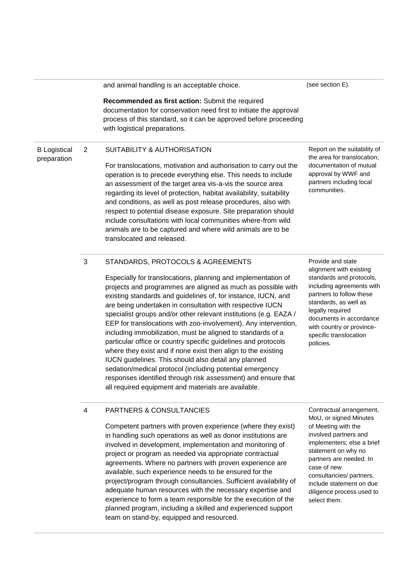|                                    |                | and animal handling is an acceptable choice.                                                                                                                                                                                                                                                                                                                                                                                                                                                                                                                                                                                                                                                                                                                                                                                                                                           | (see section E).                                                                                                                                                                                                                                                              |
|------------------------------------|----------------|----------------------------------------------------------------------------------------------------------------------------------------------------------------------------------------------------------------------------------------------------------------------------------------------------------------------------------------------------------------------------------------------------------------------------------------------------------------------------------------------------------------------------------------------------------------------------------------------------------------------------------------------------------------------------------------------------------------------------------------------------------------------------------------------------------------------------------------------------------------------------------------|-------------------------------------------------------------------------------------------------------------------------------------------------------------------------------------------------------------------------------------------------------------------------------|
|                                    |                | Recommended as first action: Submit the required<br>documentation for conservation need first to initiate the approval<br>process of this standard, so it can be approved before proceeding<br>with logistical preparations.                                                                                                                                                                                                                                                                                                                                                                                                                                                                                                                                                                                                                                                           |                                                                                                                                                                                                                                                                               |
| <b>B</b> Logistical<br>preparation | $\overline{2}$ | <b>SUITABILITY &amp; AUTHORISATION</b>                                                                                                                                                                                                                                                                                                                                                                                                                                                                                                                                                                                                                                                                                                                                                                                                                                                 | Report on the suitability of<br>the area for translocation;                                                                                                                                                                                                                   |
|                                    |                | For translocations, motivation and authorisation to carry out the<br>operation is to precede everything else. This needs to include<br>an assessment of the target area vis-a-vis the source area<br>regarding its level of protection, habitat availability, suitability<br>and conditions, as well as post release procedures, also with<br>respect to potential disease exposure. Site preparation should<br>include consultations with local communities where-from wild<br>animals are to be captured and where wild animals are to be<br>translocated and released.                                                                                                                                                                                                                                                                                                              | documentation of mutual<br>approval by WWF and<br>partners including local<br>communities.                                                                                                                                                                                    |
|                                    | $\mathbf{3}$   | STANDARDS, PROTOCOLS & AGREEMENTS<br>Especially for translocations, planning and implementation of<br>projects and programmes are aligned as much as possible with<br>existing standards and guidelines of, for instance, IUCN, and<br>are being undertaken in consultation with respective IUCN<br>specialist groups and/or other relevant institutions (e.g. EAZA /<br>EEP for translocations with zoo-involvement). Any intervention,<br>including immobilization, must be aligned to standards of a<br>particular office or country specific guidelines and protocols<br>where they exist and if none exist then align to the existing<br>IUCN guidelines. This should also detail any planned<br>sedation/medical protocol (including potential emergency<br>responses identified through risk assessment) and ensure that<br>all required equipment and materials are available. | Provide and state<br>alignment with existing<br>standards and protocols,<br>including agreements with<br>partners to follow these<br>standards, as well as<br>legally required<br>documents in accordance<br>with country or province-<br>specific translocation<br>policies. |
|                                    | 4              | PARTNERS & CONSULTANCIES<br>Competent partners with proven experience (where they exist)<br>in handling such operations as well as donor institutions are<br>involved in development, implementation and monitoring of<br>project or program as needed via appropriate contractual<br>agreements. Where no partners with proven experience are<br>available, such experience needs to be ensured for the                                                                                                                                                                                                                                                                                                                                                                                                                                                                               | Contractual arrangement,<br>MoU, or signed Minutes<br>of Meeting with the<br>involved partners and<br>implementers; else a brief<br>statement on why no<br>partners are needed. In<br>case of new<br>consultancies/ partners,                                                 |

project/program through consultancies. Sufficient availability of adequate human resources with the necessary expertise and experience to form a team responsible for the execution of the planned program, including a skilled and experienced support team on stand-by, equipped and resourced.

include statement on due diligence process used to select them.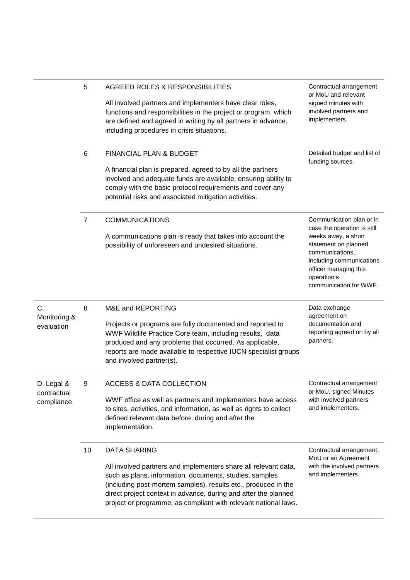|                                         | 5              | AGREED ROLES & RESPONSIBILITIES<br>All involved partners and implementers have clear roles,<br>functions and responsibilities in the project or program, which<br>are defined and agreed in writing by all partners in advance,<br>including procedures in crisis situations.                                                                             | Contractual arrangement<br>or MoU and relevant<br>signed minutes with<br>involved partners and<br>implementers.                                                                                                         |
|-----------------------------------------|----------------|-----------------------------------------------------------------------------------------------------------------------------------------------------------------------------------------------------------------------------------------------------------------------------------------------------------------------------------------------------------|-------------------------------------------------------------------------------------------------------------------------------------------------------------------------------------------------------------------------|
|                                         | 6              | FINANCIAL PLAN & BUDGET<br>A financial plan is prepared, agreed to by all the partners<br>involved and adequate funds are available, ensuring ability to<br>comply with the basic protocol requirements and cover any<br>potential risks and associated mitigation activities.                                                                            | Detailed budget and list of<br>funding sources.                                                                                                                                                                         |
|                                         | $\overline{7}$ | <b>COMMUNICATIONS</b><br>A communications plan is ready that takes into account the<br>possibility of unforeseen and undesired situations.                                                                                                                                                                                                                | Communication plan or in<br>case the operation is still<br>weeks away, a short<br>statement on planned<br>communications,<br>including communications<br>officer managing this<br>operation's<br>communication for WWF. |
| C.<br>Monitoring &<br>evaluation        | 8              | M&E and REPORTING<br>Projects or programs are fully documented and reported to<br>WWF Wildlife Practice Core team, including results, data<br>produced and any problems that occurred. As applicable,<br>reports are made available to respective IUCN specialist groups<br>and involved partner(s).                                                      | Data exchange<br>agreement on<br>documentation and<br>reporting agreed on by all<br>partners.                                                                                                                           |
| D. Legal &<br>contractual<br>compliance | 9              | <b>ACCESS &amp; DATA COLLECTION</b><br>WWF office as well as partners and implementers have access<br>to sites, activities, and information, as well as rights to collect<br>defined relevant data before, during and after the<br>implementation.                                                                                                        | Contractual arrangement<br>or MoU, signed Minutes<br>with involved partners<br>and implementers.                                                                                                                        |
|                                         | 10             | <b>DATA SHARING</b><br>All involved partners and implementers share all relevant data,<br>such as plans, information, documents, studies, samples<br>(including post-mortem samples), results etc., produced in the<br>direct project context in advance, during and after the planned<br>project or programme, as compliant with relevant national laws. | Contractual arrangement;<br>MoU or an Agreement<br>with the involved partners<br>and implementers.                                                                                                                      |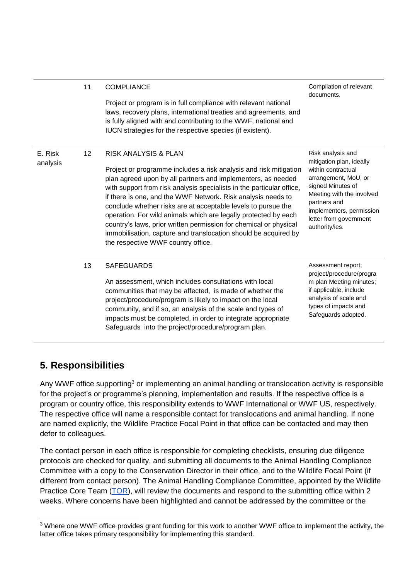|                     | 11 | <b>COMPLIANCE</b><br>Project or program is in full compliance with relevant national<br>laws, recovery plans, international treaties and agreements, and<br>is fully aligned with and contributing to the WWF, national and<br>IUCN strategies for the respective species (if existent).                                                                                                                                                                                                                                                                                                                                        | Compilation of relevant<br>documents.                                                                                                                                                                                                 |
|---------------------|----|---------------------------------------------------------------------------------------------------------------------------------------------------------------------------------------------------------------------------------------------------------------------------------------------------------------------------------------------------------------------------------------------------------------------------------------------------------------------------------------------------------------------------------------------------------------------------------------------------------------------------------|---------------------------------------------------------------------------------------------------------------------------------------------------------------------------------------------------------------------------------------|
| E. Risk<br>analysis | 12 | <b>RISK ANALYSIS &amp; PLAN</b><br>Project or programme includes a risk analysis and risk mitigation<br>plan agreed upon by all partners and implementers, as needed<br>with support from risk analysis specialists in the particular office,<br>if there is one, and the WWF Network. Risk analysis needs to<br>conclude whether risks are at acceptable levels to pursue the<br>operation. For wild animals which are legally protected by each<br>country's laws, prior written permission for chemical or physical<br>immobilisation, capture and translocation should be acquired by<br>the respective WWF country office. | Risk analysis and<br>mitigation plan, ideally<br>within contractual<br>arrangement, MoU, or<br>signed Minutes of<br>Meeting with the involved<br>partners and<br>implementers, permission<br>letter from government<br>authority/ies. |
|                     | 13 | <b>SAFEGUARDS</b><br>An assessment, which includes consultations with local<br>communities that may be affected, is made of whether the<br>project/procedure/program is likely to impact on the local<br>community, and if so, an analysis of the scale and types of<br>impacts must be completed, in order to integrate appropriate<br>Safeguards into the project/procedure/program plan.                                                                                                                                                                                                                                     | Assessment report;<br>project/procedure/progra<br>m plan Meeting minutes;<br>if applicable, include<br>analysis of scale and<br>types of impacts and<br>Safeguards adopted.                                                           |

## **5. Responsibilities**

Any WWF office supporting<sup>3</sup> or implementing an animal handling or translocation activity is responsible for the project's or programme's planning, implementation and results. If the respective office is a program or country office, this responsibility extends to WWF International or WWF US, respectively. The respective office will name a responsible contact for translocations and animal handling. If none are named explicitly, the Wildlife Practice Focal Point in that office can be contacted and may then defer to colleagues.

The contact person in each office is responsible for completing checklists, ensuring due diligence protocols are checked for quality, and submitting all documents to the Animal Handling Compliance Committee with a copy to the Conservation Director in their office, and to the Wildlife Focal Point (if different from contact person). The Animal Handling Compliance Committee, appointed by the Wildlife Practice Core Team [\(TOR\)](https://docs.google.com/document/d/1I45P3iiHn_-vRh9N2LiwBDvDg2R61QeZ/edit?usp=sharing&ouid=108075820400733571880&rtpof=true&sd=true), will review the documents and respond to the submitting office within 2 weeks. Where concerns have been highlighted and cannot be addressed by the committee or the

<sup>&</sup>lt;sup>3</sup> Where one WWF office provides grant funding for this work to another WWF office to implement the activity, the latter office takes primary responsibility for implementing this standard.